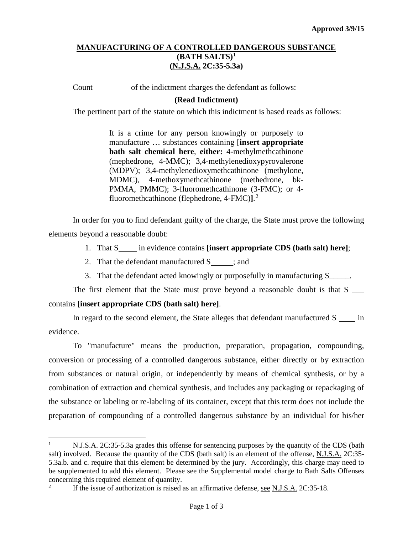## **MANUFACTURING OF A CONTROLLED DANGEROUS SUBSTANCE (BATH SALTS)[1](#page-0-0) (N.J.S.A. 2C:35-5.3a)**

Count of the indictment charges the defendant as follows:

## **(Read Indictment)**

The pertinent part of the statute on which this indictment is based reads as follows:

It is a crime for any person knowingly or purposely to manufacture … substances containing [**insert appropriate bath salt chemical here**, **either:** 4-methylmethcathinone (mephedrone, 4-MMC); 3,4-methylenedioxypyrovalerone (MDPV); 3,4-methylenedioxymethcathinone (methylone, MDMC), 4-methoxymethcathinone (methedrone, bk-PMMA, PMMC); 3-fluoromethcathinone (3-FMC); or 4 fluoromethcathinone (flephedrone, 4-FMC)**]**. [2](#page-0-1)

In order for you to find defendant guilty of the charge, the State must prove the following elements beyond a reasonable doubt:

- 1. That S<sub>nn</sub> in evidence contains **[insert appropriate CDS (bath salt) here**];
- 2. That the defendant manufactured  $S_{\text{max}}$ ; and
- 3. That the defendant acted knowingly or purposefully in manufacturing S

The first element that the State must prove beyond a reasonable doubt is that  $S \_$ contains **[insert appropriate CDS (bath salt) here]**.

In regard to the second element, the State alleges that defendant manufactured S in evidence.

To "manufacture" means the production, preparation, propagation, compounding, conversion or processing of a controlled dangerous substance, either directly or by extraction from substances or natural origin, or independently by means of chemical synthesis, or by a combination of extraction and chemical synthesis, and includes any packaging or repackaging of the substance or labeling or re-labeling of its container, except that this term does not include the preparation of compounding of a controlled dangerous substance by an individual for his/her

 $\overline{a}$ 

<span id="page-0-0"></span><sup>&</sup>lt;sup>1</sup> N.J.S.A. 2C:35-5.3a grades this offense for sentencing purposes by the quantity of the CDS (bath salt) involved. Because the quantity of the CDS (bath salt) is an element of the offense, N.J.S.A. 2C:35- 5.3a.b. and c. require that this element be determined by the jury. Accordingly, this charge may need to be supplemented to add this element. Please see the Supplemental model charge to Bath Salts Offenses concerning this required element of quantity.<br> $\frac{2}{1}$  If the issue of authorization is raised.

<span id="page-0-1"></span><sup>2</sup> If the issue of authorization is raised as an affirmative defense, see N.J.S.A. 2C:35-18.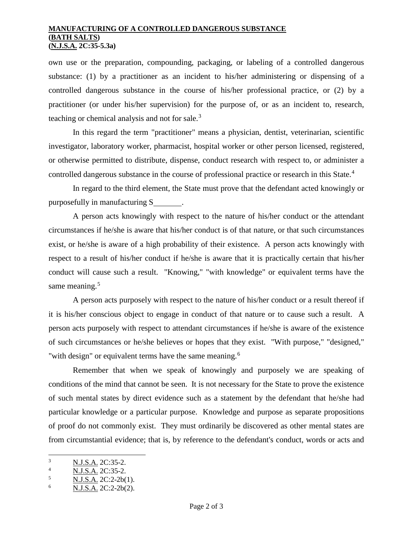## **MANUFACTURING OF A CONTROLLED DANGEROUS SUBSTANCE (BATH SALTS) (N.J.S.A. 2C:35-5.3a)**

own use or the preparation, compounding, packaging, or labeling of a controlled dangerous substance: (1) by a practitioner as an incident to his/her administering or dispensing of a controlled dangerous substance in the course of his/her professional practice, or (2) by a practitioner (or under his/her supervision) for the purpose of, or as an incident to, research, teaching or chemical analysis and not for sale. $3$ 

In this regard the term "practitioner" means a physician, dentist, veterinarian, scientific investigator, laboratory worker, pharmacist, hospital worker or other person licensed, registered, or otherwise permitted to distribute, dispense, conduct research with respect to, or administer a controlled dangerous substance in the course of professional practice or research in this State.<sup>[4](#page-1-1)</sup>

In regard to the third element, the State must prove that the defendant acted knowingly or purposefully in manufacturing S .

A person acts knowingly with respect to the nature of his/her conduct or the attendant circumstances if he/she is aware that his/her conduct is of that nature, or that such circumstances exist, or he/she is aware of a high probability of their existence. A person acts knowingly with respect to a result of his/her conduct if he/she is aware that it is practically certain that his/her conduct will cause such a result. "Knowing," "with knowledge" or equivalent terms have the same meaning.<sup>[5](#page-1-2)</sup>

A person acts purposely with respect to the nature of his/her conduct or a result thereof if it is his/her conscious object to engage in conduct of that nature or to cause such a result. A person acts purposely with respect to attendant circumstances if he/she is aware of the existence of such circumstances or he/she believes or hopes that they exist. "With purpose," "designed," "with design" or equivalent terms have the same meaning.<sup>[6](#page-1-3)</sup>

Remember that when we speak of knowingly and purposely we are speaking of conditions of the mind that cannot be seen. It is not necessary for the State to prove the existence of such mental states by direct evidence such as a statement by the defendant that he/she had particular knowledge or a particular purpose. Knowledge and purpose as separate propositions of proof do not commonly exist. They must ordinarily be discovered as other mental states are from circumstantial evidence; that is, by reference to the defendant's conduct, words or acts and

<span id="page-1-0"></span> $\frac{3}{4}$  N.J.S.A. 2C:35-2.  $\overline{3}$ 

<span id="page-1-1"></span> $\frac{4}{5}$  N.J.S.A. 2C:35-2.

<span id="page-1-2"></span> $\frac{5}{6}$  N.J.S.A. 2C:2-2b(1).

<span id="page-1-3"></span><sup>6</sup> N.J.S.A. 2C:2-2b(2).